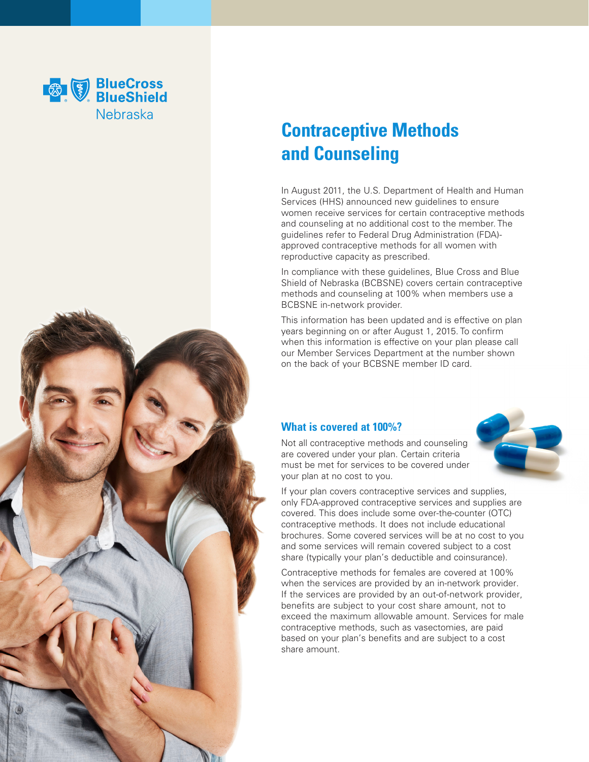

## **Contraceptive Methods and Counseling**

In August 2011, the U.S. Department of Health and Human Services (HHS) announced new guidelines to ensure women receive services for certain contraceptive methods and counseling at no additional cost to the member. The guidelines refer to Federal Drug Administration (FDA) approved contraceptive methods for all women with reproductive capacity as prescribed.

In compliance with these guidelines, Blue Cross and Blue Shield of Nebraska (BCBSNE) covers certain contraceptive methods and counseling at 100% when members use a BCBSNE in-network provider.

This information has been updated and is effective on plan years beginning on or after August 1, 2015. To confirm when this information is effective on your plan please call our Member Services Department at the number shown on the back of your BCBSNE member ID card.

## **What is covered at 100%?**



Not all contraceptive methods and counseling are covered under your plan. Certain criteria must be met for services to be covered under your plan at no cost to you.

If your plan covers contraceptive services and supplies, only FDA-approved contraceptive services and supplies are covered. This does include some over-the-counter (OTC) contraceptive methods. It does not include educational brochures. Some covered services will be at no cost to you and some services will remain covered subject to a cost share (typically your plan's deductible and coinsurance).

Contraceptive methods for females are covered at 100% when the services are provided by an in-network provider. If the services are provided by an out-of-network provider, benefits are subject to your cost share amount, not to exceed the maximum allowable amount. Services for male contraceptive methods, such as vasectomies, are paid based on your plan's benefits and are subject to a cost share amount.